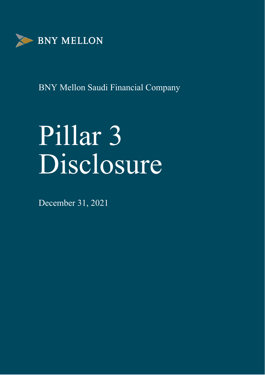

# Pillar 3 Disclosure

December 31, 2021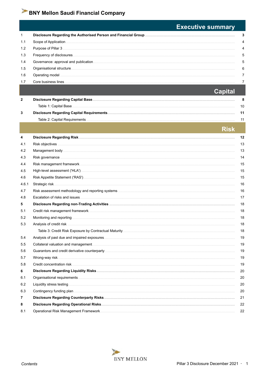|       | <b>Executive summary</b> |
|-------|--------------------------|
| 1     | 3                        |
| 1.1   | 4                        |
| 1.2   | 4                        |
| 1.3   | 5                        |
| 1.4   | 5                        |
| 1.5   | 6                        |
| 1.6   | 7                        |
| 1.7   | 7                        |
|       | <b>Capital</b>           |
| 2     | 8                        |
|       | 10                       |
| 3     | 11                       |
|       | 11                       |
|       |                          |
|       | Risk                     |
| 4     | 12                       |
| 4.1   | 13                       |
| 4.2   | 13                       |
| 4.3   | 14                       |
| 4.4   | 15                       |
| 4.5   | 15                       |
| 4.6   | 15                       |
| 4.6.1 | 16                       |
| 4.7   | 16                       |
| 4.8   | 17                       |
| 5     | 18                       |
| 5.1   | 18                       |
| 5.2   | 18                       |
| 5.3   | 18                       |
|       | 18                       |
| 5.4   | 19                       |
| 5.5   | 19                       |
| 5.6   | 19                       |
| 5.7   | 19                       |
| 5.8   | 19                       |
| 6     | 20                       |
| 6.1   | 20                       |
| 6.2   | 20                       |
| 6.3   | 20                       |
| 7     | 21                       |
| 8     | 22                       |
| 8.1   | 22                       |

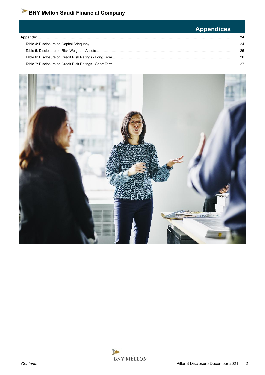#### **Appendices** Appendix.  $24$ Table 4: Disclosure on Capital Adequacy  $24$ Table 5: Disclosure on Risk Weighted Assets. 25 Table 6: Disclosure on Credit Risk Ratings - Long Term. 26 Table 7: Disclosure on Credit Risk Ratings - Short Term 27



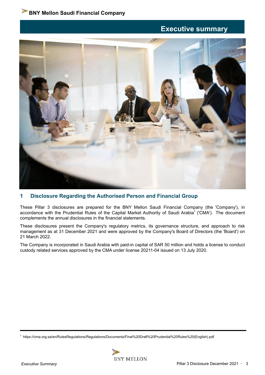## **Executive summary**



## **1 Disclosure Regarding the Authorised Person and Financial Group**

These Pillar 3 disclosures are prepared for the BNY Mellon Saudi Financial Company (the 'Company'), in accordance with the Prudential Rules of the Capital Market Authority of Saudi Arabia<sup>1</sup> ('CMA'). The document complements the annual disclosures in the financial statements.

These disclosures present the Company's regulatory metrics, its governance structure, and approach to risk management as at 31 December 2021 and were approved by the Company's Board of Directors (the 'Board') on 21 March 2022.

The Company is incorporated in Saudi Arabia with paid-in capital of SAR 50 million and holds a license to conduct custody related services approved by the CMA under license 20211-04 issued on 13 July 2020.

<sup>1</sup> https://cma.org.sa/en/RulesRegulations/Regulations/Documents/Final%20Draft%20Prudential%20Rules%20(English).pdf

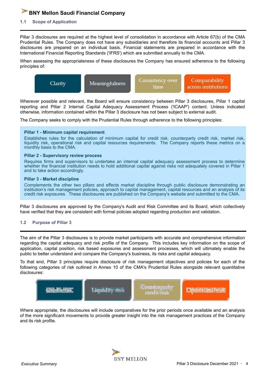#### **1.1 Scope of Application**

Pillar 3 disclosures are required at the highest level of consolidation in accordance with Article 67(b) of the CMA Prudential Rules. The Company does not have any subsidiaries and therefore its financial accounts and Pillar 3 disclosures are prepared on an individual basis. Financial statements are prepared in accordance with the International Financial Reporting Standards ('IFRS') which are submitted annually to the CMA.

When assessing the appropriateness of these disclosures the Company has ensured adherence to the following principles of:



Wherever possible and relevant, the Board will ensure consistency between Pillar 3 disclosures, Pillar 1 capital reporting and Pillar 2 Internal Capital Adequacy Assessment Process ('ICAAP') content. Unless indicated otherwise, information contained within the Pillar 3 disclosure has not been subject to external audit.

The Company seeks to comply with the Prudential Rules through adherence to the following principles:

#### **Pillar 1 - Minimum capital requirement**

Establishes rules for the calculation of minimum capital for credit risk, counterparty credit risk, market risk, liquidity risk, operational risk and capital resources requirements. The Company reports these metrics on a monthly basis to the CMA.

#### **Pillar 2 - Supervisory review process**

Requires firms and supervisors to undertake an internal capital adequacy assessment process to determine whether the financial institution needs to hold additional capital against risks not adequately covered in Pillar 1 and to take action accordingly.

#### **Pillar 3 - Market discipline**

Complements the other two pillars and effects market discipline through public disclosure demonstrating an institution's risk management policies, approach to capital management, capital resources and an analysis of its credit risk exposures. These disclosures are published on the Company's website and submitted to the CMA.

Pillar 3 disclosures are approved by the Company's Audit and Risk Committee and its Board, which collectively have verified that they are consistent with formal policies adopted regarding production and validation.

#### **1.2 Purpose of Pillar 3**

The aim of the Pillar 3 disclosures is to provide market participants with accurate and comprehensive information regarding the capital adequacy and risk profile of the Company. This includes key information on the scope of application, capital position, risk based exposures and assessment processes, which will ultimately enable the public to better understand and compare the Company's business, its risks and capital adequacy.

To that end, Pillar 3 principles require disclosure of risk management objectives and policies for each of the following categories of risk outlined in Annex 10 of the CMA's Prudential Rules alongside relevant quantitative disclosures:



Where appropriate, the disclosures will include comparatives for the prior periods once available and an analysis of the more significant movements to provide greater insight into the risk management practices of the Company and its risk profile.

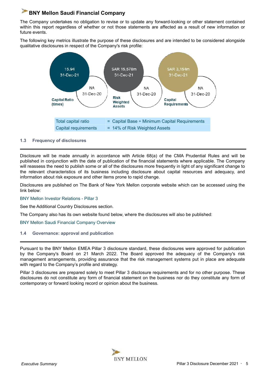The Company undertakes no obligation to revise or to update any forward-looking or other statement contained within this report regardless of whether or not those statements are affected as a result of new information or future events.

The following key metrics illustrate the purpose of these disclosures and are intended to be considered alongside qualitative disclosures in respect of the Company's risk profile:



#### **1.3 Frequency of disclosures**

Disclosure will be made annually in accordance with Article 68(a) of the CMA Prudential Rules and will be published in conjunction with the date of publication of the financial statements where applicable. The Company will reassess the need to publish some or all of the disclosures more frequently in light of any significant change to the relevant characteristics of its business including disclosure about capital resources and adequacy, and information about risk exposure and other items prone to rapid change.

Disclosures are published on The Bank of New York Mellon corporate website which can be accessed using the link below:

#### BNY Mellon Investor Relations - Pillar 3

See the Additional Country Disclosures section.

The Company also has its own website found below, where the disclosures will also be published:

#### BNY Mellon Saudi Financial Company Overview

**1.4 Governance: approval and publication**

Pursuant to the BNY Mellon EMEA Pillar 3 disclosure standard, these disclosures were approved for publication by the Company's Board on 21 March 2022. The Board approved the adequacy of the Company's risk management arrangements, providing assurance that the risk management systems put in place are adequate with regard to the Company's profile and strategy.

Pillar 3 disclosures are prepared solely to meet Pillar 3 disclosure requirements and for no other purpose. These disclosures do not constitute any form of financial statement on the business nor do they constitute any form of contemporary or forward looking record or opinion about the business.

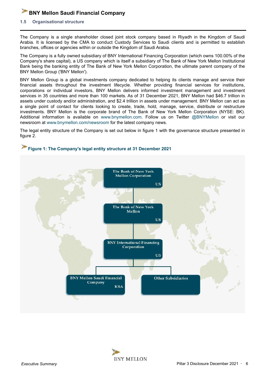#### **1.5 Organisational structure**

The Company is a single shareholder closed joint stock company based in Riyadh in the Kingdom of Saudi Arabia. It is licensed by the CMA to conduct Custody Services to Saudi clients and is permitted to establish branches, offices or agencies within or outside the Kingdom of Saudi Arabia.

The Company is a fully owned subsidiary of BNY International Financing Corporation (which owns 100.00% of the Company's share capital), a US company which is itself a subsidiary of The Bank of New York Mellon Institutional Bank being the banking entity of The Bank of New York Mellon Corporation, the ultimate parent company of the BNY Mellon Group ('BNY Mellon').

BNY Mellon Group is a global investments company dedicated to helping its clients manage and service their financial assets throughout the investment lifecycle. Whether providing financial services for institutions, corporations or individual investors, BNY Mellon delivers informed investment management and investment services in 35 countries and more than 100 markets. As of 31 December 2021, BNY Mellon had \$46.7 trillion in assets under custody and/or administration, and \$2.4 trillion in assets under management. BNY Mellon can act as a single point of contact for clients looking to create, trade, hold, manage, service, distribute or restructure investments. BNY Mellon is the corporate brand of The Bank of New York Mellon Corporation (NYSE: BK). Additional information is available on www.bnymellon.com. Follow us on Twitter @BNYMellon or visit our newsroom at www.bnymellon.com/newsroom for the latest company news.

The legal entity structure of the Company is set out below in figure 1 with the governance structure presented in figure 2.



## **Figure 1: The Company's legal entity structure at 31 December 2021**

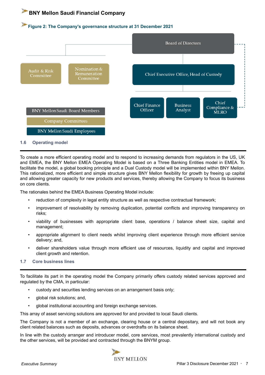#### **Figure 2: The Company's governance structure at 31 December 2021**



To create a more efficient operating model and to respond to increasing demands from regulators in the US, UK and EMEA, the BNY Mellon EMEA Operating Model is based on a Three Banking Entities model in EMEA. To facilitate the model, a global booking principle and a Dual Custody model will be implemented within BNY Mellon. This rationalized, more efficient and simple structure gives BNY Mellon flexibility for growth by freeing up capital and allowing greater capacity for new products and services, thereby allowing the Company to focus its business on core clients.

The rationales behind the EMEA Business Operating Model include:

- reduction of complexity in legal entity structure as well as respective contractual framework;
- improvement of resolvability by removing duplication, potential conflicts and improving transparency on risks;
- viability of businesses with appropriate client base, operations / balance sheet size, capital and management;
- appropriate alignment to client needs whilst improving client experience through more efficient service delivery; and,
- deliver shareholders value through more efficient use of resources, liquidity and capital and improved client growth and retention.

#### **1.7 Core business lines**

To facilitate its part in the operating model the Company primarily offers custody related services approved and regulated by the CMA, in particular:

- custody and securities lending services on an arrangement basis only;
- global risk solutions; and,
- global institutional accounting and foreign exchange services.

This array of asset servicing solutions are approved for and provided to local Saudi clients.

The Company is not a member of an exchange, clearing house or a central depositary, and will not book any client related balances such as deposits, advances or overdrafts on its balance sheet.

In line with the custody arranger and introducer model, core services, most prevalently international custody and the other services, will be provided and contracted through the BNYM group.

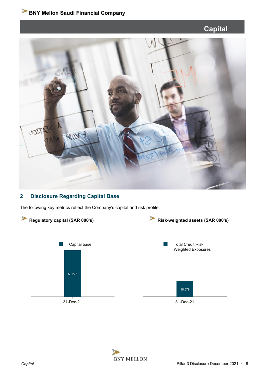# **Capital**



## **2 Disclosure Regarding Capital Base**

The following key metrics reflect the Company's capital and risk profile:



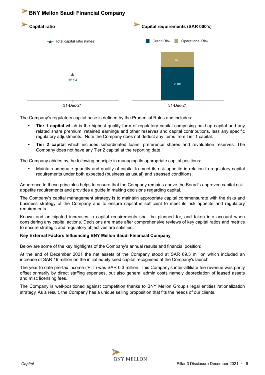

The Company's regulatory capital base is defined by the Prudential Rules and includes:

- **• Tier 1 capital** which is the highest quality form of regulatory capital comprising paid-up capital and any related share premium, retained earnings and other reserves and capital contributions, less any specific regulatory adjustments. Note the Company does not deduct any items from Tier 1 capital.
- **• Tier 2 capital** which includes subordinated loans, preference shares and revaluation reserves. The Company does not have any Tier 2 capital at the reporting date.

The Company abides by the following principle in managing its appropriate capital positions:

**•** Maintain adequate quantity and quality of capital to meet its risk appetite in relation to regulatory capital requirements under both expected (business as usual) and stressed conditions.

Adherence to these principles helps to ensure that the Company remains above the Board's approved capital risk appetite requirements and provides a guide in making decisions regarding capital.

The Company's capital management strategy is to maintain appropriate capital commensurate with the risks and business strategy of the Company and to ensure capital is sufficient to meet its risk appetite and regulatory requirements.

Known and anticipated increases in capital requirements shall be planned for, and taken into account when considering any capital actions. Decisions are made after comprehensive reviews of key capital ratios and metrics to ensure strategic and regulatory objectives are satisfied.

#### **Key External Factors Influencing BNY Mellon Saudi Financial Company**

Below are some of the key highlights of the Company's annual results and financial position:

At the end of December 2021 the net assets of the Company stood at SAR 69.3 million which included an increase of SAR 19 million on the initial equity seed capital recognised at the Company's launch.

The year to date pre-tax income ('PTI') was SAR 0.3 million. This Company's inter-affiliate fee revenue was partly offset primarily by direct staffing expenses, but also general admin costs namely depreciation of leased assets and misc licensing fees.

The Company is well-positioned against competition thanks to BNY Mellon Group's legal entities rationalization strategy. As a result, the Company has a unique selling proposition that fits the needs of our clients.

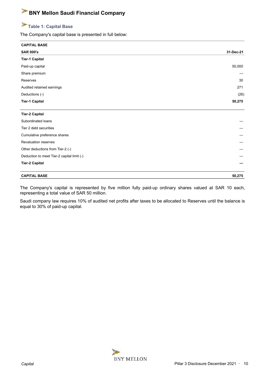## **Table 1: Capital Base**

The Company's capital base is presented in full below:

| <b>CAPITAL BASE</b>                        |           |
|--------------------------------------------|-----------|
| <b>SAR 000's</b>                           | 31-Dec-21 |
| <b>Tier-1 Capital</b>                      |           |
| Paid-up capital                            | 50,000    |
| Share premium                              |           |
| Reserves                                   | 30        |
| Audited retained earnings                  | 271       |
| Deductions (-)                             | (26)      |
| <b>Tier-1 Capital</b>                      | 50,275    |
| <b>Tier-2 Capital</b>                      |           |
| Subordinated loans                         |           |
| Tier 2 debt securities                     |           |
| Cumulative preference shares               |           |
| <b>Revaluation reserves</b>                |           |
| Other deductions from Tier-2 (-)           |           |
| Deduction to meet Tier-2 capital limit (-) |           |
| <b>Tier-2 Capital</b>                      |           |
| <b>CAPITAL BASE</b>                        | 50,275    |

The Company's capital is represented by five million fully paid-up ordinary shares valued at SAR 10 each, representing a total value of SAR 50 million.

Saudi company law requires 10% of audited net profits after taxes to be allocated to Reserves until the balance is equal to 30% of paid-up capital.

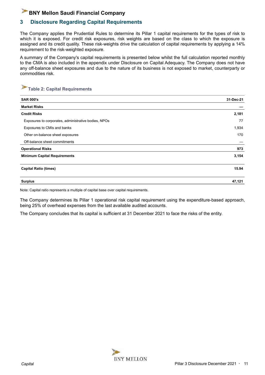## **3 Disclosure Regarding Capital Requirements**

The Company applies the Prudential Rules to determine its Pillar 1 capital requirements for the types of risk to which it is exposed. For credit risk exposures, risk weights are based on the class to which the exposure is assigned and its credit quality. These risk-weights drive the calculation of capital requirements by applying a 14% requirement to the risk-weighted exposure.

A summary of the Company's capital requirements is presented below whilst the full calculation reported monthly to the CMA is also included in the appendix under Disclosure on Capital Adequacy. The Company does not have any off-balance sheet exposures and due to the nature of its business is not exposed to market, counterparty or commodities risk.

## **Table 2: Capital Requirements**

| <b>SAR 000's</b>                                     | 31-Dec-21 |
|------------------------------------------------------|-----------|
| <b>Market Risks</b>                                  |           |
| <b>Credit Risks</b>                                  | 2,181     |
| Exposures to corporates, administrative bodies, NPOs | 77        |
| Exposures to CMIs and banks                          | 1,934     |
| Other on-balance sheet exposures                     | 170       |
| Off-balance sheet commitments                        |           |
| <b>Operational Risks</b>                             | 973       |
| <b>Minimum Capital Requirements</b>                  | 3,154     |
| <b>Capital Ratio (times)</b>                         | 15.94     |
| <b>Surplus</b>                                       | 47,121    |

Note: Capital ratio represents a multiple of capital base over capital requirements.

The Company determines its Pillar 1 operational risk capital requirement using the expenditure-based approach, being 25% of overhead expenses from the last available audited accounts.

The Company concludes that its capital is sufficient at 31 December 2021 to face the risks of the entity.

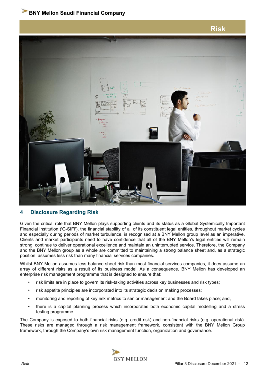

## **4 Disclosure Regarding Risk**

Given the critical role that BNY Mellon plays supporting clients and its status as a Global Systemically Important Financial Institution ('G-SIFI'), the financial stability of all of its constituent legal entities, throughout market cycles and especially during periods of market turbulence, is recognised at a BNY Mellon group level as an imperative. Clients and market participants need to have confidence that all of the BNY Mellon's legal entities will remain strong, continue to deliver operational excellence and maintain an uninterrupted service. Therefore, the Company and the BNY Mellon group as a whole are committed to maintaining a strong balance sheet and, as a strategic position, assumes less risk than many financial services companies.

Whilst BNY Mellon assumes less balance sheet risk than most financial services companies, it does assume an array of different risks as a result of its business model. As a consequence, BNY Mellon has developed an enterprise risk management programme that is designed to ensure that:

- risk limits are in place to govern its risk-taking activities across key businesses and risk types;
- risk appetite principles are incorporated into its strategic decision making processes;
- monitoring and reporting of key risk metrics to senior management and the Board takes place; and,
- there is a capital planning process which incorporates both economic capital modelling and a stress testing programme.

The Company is exposed to both financial risks (e.g. credit risk) and non-financial risks (e.g. operational risk). These risks are managed through a risk management framework, consistent with the BNY Mellon Group framework, through the Company's own risk management function, organization and governance.

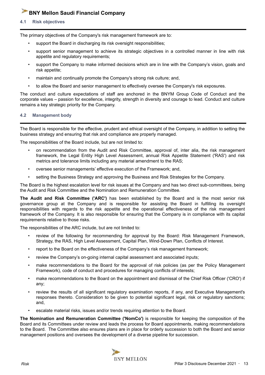**4.1 Risk objectives**

The primary objectives of the Company's risk management framework are to:

- support the Board in discharging its risk oversight responsibilities;
- support senior management to achieve its strategic objectives in a controlled manner in line with risk appetite and regulatory requirements;
- support the Company to make informed decisions which are in line with the Company's vision, goals and risk appetite;
- maintain and continually promote the Company's strong risk culture; and,
- to allow the Board and senior management to effectively oversee the Company's risk exposures.

The conduct and culture expectations of staff are anchored in the BNYM Group Code of Conduct and the corporate values – passion for excellence, integrity, strength in diversity and courage to lead. Conduct and culture remains a key strategic priority for the Company.

#### **4.2 Management body**

The Board is responsible for the effective, prudent and ethical oversight of the Company, in addition to setting the business strategy and ensuring that risk and compliance are properly managed.

The responsibilities of the Board include, but are not limited to:

- on recommendation from the Audit and Risk Committee, approval of, inter alia, the risk management framework, the Legal Entity High Level Assessment, annual Risk Appetite Statement ('RAS') and risk metrics and tolerance limits including any material amendment to the RAS;
- oversee senior managements' effective execution of the Framework; and,
- setting the Business Strategy and approving the Business and Risk Strategies for the Company.

The Board is the highest escalation level for risk issues at the Company and has two direct sub-committees, being the Audit and Risk Committee and the Nomination and Remuneration Committee.

**The Audit and Risk Committee ('ARC')** has been established by the Board and is the most senior risk governance group at the Company and is responsible for assisting the Board in fulfilling its oversight responsibilities with regards to the risk appetite and the operational effectiveness of the risk management framework of the Company. It is also responsible for ensuring that the Company is in compliance with its capital requirements relative to those risks.

The responsibilities of the ARC include, but are not limited to:

- review of the following for recommending for approval by the Board: Risk Management Framework, Strategy, the RAS, High Level Assessment, Capital Plan, Wind-Down Plan, Conflicts of Interest.
- report to the Board on the effectiveness of the Company's risk management framework;
- review the Company's on-going internal capital assessment and associated inputs;
- make recommendations to the Board for the approval of risk policies (as per the Policy Management Framework), code of conduct and procedures for managing conflicts of interests;
- make recommendations to the Board on the appointment and dismissal of the Chief Risk Officer ('CRO') if any;
- review the results of all significant regulatory examination reports, if any, and Executive Management's responses thereto. Consideration to be given to potential significant legal, risk or regulatory sanctions; and,
- escalate material risks, issues and/or trends requiring attention to the Board.

**The Nomination and Remuneration Committee ('NomCo')** is responsible for keeping the composition of the Board and its Committees under review and leads the process for Board appointments, making recommendations to the Board. The Committee also ensures plans are in place for orderly succession to both the Board and senior management positions and oversees the development of a diverse pipeline for succession.

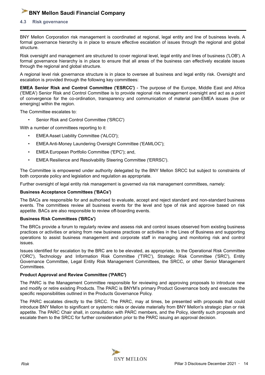#### **4.3 Risk governance**

BNY Mellon Corporation risk management is coordinated at regional, legal entity and line of business levels. A formal governance hierarchy is in place to ensure effective escalation of issues through the regional and global structure.

Risk oversight and management are structured to cover regional level, legal entity and lines of business ('LOB'). A formal governance hierarchy is in place to ensure that all areas of the business can effectively escalate issues through the regional and global structure.

A regional level risk governance structure is in place to oversee all business and legal entity risk. Oversight and escalation is provided through the following key committees:

**EMEA Senior Risk and Control Committee ('ESRCC')** - The purpose of the Europe, Middle East and Africa ('EMEA') Senior Risk and Control Committee is to provide regional risk management oversight and act as a point of convergence for the co-ordination, transparency and communication of material pan-EMEA issues (live or emerging) within the region.

The Committee escalates to:

• Senior Risk and Control Committee ('SRCC')

With a number of committees reporting to it:

- EMEA Asset Liability Committee ('ALCO');
- EMEA Anti-Money Laundering Oversight Committee ('EAMLOC');
- EMEA European Portfolio Committee ('EPC'); and,
- EMEA Resilience and Resolvability Steering Committee ('ERRSC').

The Committee is empowered under authority delegated by the BNY Mellon SRCC but subject to constraints of both corporate policy and legislation and regulation as appropriate.

Further oversight of legal entity risk management is governed via risk management committees, namely:

#### **Business Acceptance Committees ('BACs')**

The BACs are responsible for and authorised to evaluate, accept and reject standard and non-standard business events. The committees review all business events for the level and type of risk and approve based on risk appetite. BACs are also responsible to review off-boarding events.

#### **Business Risk Committees ('BRCs')**

The BRCs provide a forum to regularly review and assess risk and control issues observed from existing business practices or activities or arising from new business practices or activities in the Lines of Business and supporting operations to assist business management and corporate staff in managing and monitoring risk and control issues.

Issues identified for escalation by the BRC are to be elevated, as appropriate, to the Operational Risk Committee ('ORC'), Technology and Information Risk Committee ('TIRC'), Strategic Risk Committee ('SRC'), Entity Governance Committee, Legal Entity Risk Management Committees, the SRCC, or other Senior Management Committees.

#### **Product Approval and Review Committee ('PARC')**

The PARC is the Management Committee responsible for reviewing and approving proposals to introduce new and modify or retire existing Products. The PARC is BNYM's primary Product Governance body and executes the specific responsibilities outlined in the Products Governance Policy.

The PARC escalates directly to the SRCC. The PARC, may at times, be presented with proposals that could introduce BNY Mellon to significant or systemic risks or deviate materially from BNY Mellon's strategic plan or risk appetite. The PARC Chair shall, in consultation with PARC members, and the Policy, identify such proposals and escalate them to the SRCC for further consideration prior to the PARC issuing an approval decision.

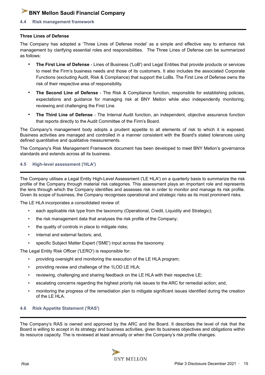#### **4.4 Risk management framework**

#### **Three Lines of Defense**

The Company has adopted a 'Three Lines of Defense model' as a simple and effective way to enhance risk management by clarifying essential roles and responsibilities. The Three Lines of Defense can be summarized as follows:

- **The First Line of Defense** Lines of Business ('LoB') and Legal Entities that provide products or services to meet the Firm's business needs and those of its customers. It also includes the associated Corporate Functions (excluding Audit, Risk & Compliance) that support the LoBs. The First Line of Defense owns the risk of their respective area of responsibility.
- **The Second Line of Defense** The Risk & Compliance function, responsible for establishing policies, expectations and guidance for managing risk at BNY Mellon while also independently monitoring, reviewing and challenging the First Line.
- **The Third Line of Defense** The Internal Audit function, an independent, objective assurance function that reports directly to the Audit Committee of the Firm's Board.

The Company's management body adopts a prudent appetite to all elements of risk to which it is exposed. Business activities are managed and controlled in a manner consistent with the Board's stated tolerances using defined quantitative and qualitative measurements.

The Company's Risk Management Framework document has been developed to meet BNY Mellon's governance standards and extends across all its business.

#### **4.5 High-level assessment ('HLA')**

The Company utilises a Legal Entity High-Level Assessment ('LE HLA') on a quarterly basis to summarize the risk profile of the Company through material risk categories. This assessment plays an important role and represents the lens through which the Company identifies and assesses risk in order to monitor and manage its risk profile. Given its scope of business, the Company recognises operational and strategic risks as its most prominent risks.

The LE HLA incorporates a consolidated review of:

- each applicable risk type from the taxonomy (Operational, Credit, Liquidity and Strategic);
- the risk management data that analyses the risk profile of the Company;
- the quality of controls in place to mitigate risks;
- internal and external factors; and,
- specific Subject Matter Expert ('SME') input across the taxonomy.

The Legal Entity Risk Officer ('LERO') is responsible for:

- providing oversight and monitoring the execution of the LE HLA program;
- providing review and challenge of the 1LOD LE HLA;
- reviewing, challenging and sharing feedback on the LE HLA with their respective LE;
- escalating concerns regarding the highest priority risk issues to the ARC for remedial action; and,
- monitoring the progress of the remediation plan to mitigate significant issues identified during the creation of the LE HLA.

#### **4.6 Risk Appetite Statement ('RAS')**

The Company's RAS is owned and approved by the ARC and the Board. It describes the level of risk that the Board is willing to accept in its strategy and business activities, given its business objectives and obligations within its resource capacity. The is reviewed at least annually or when the Company's risk profile changes.

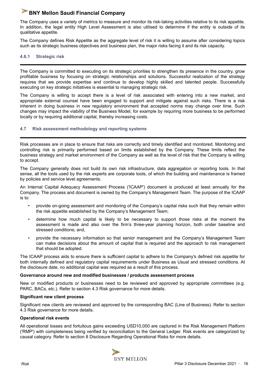The Company uses a variety of metrics to measure and monitor its risk-taking activities relative to its risk appetite. In addition, the legal entity High Level Assessment is also utilised to determine if the entity is outside of its qualitative appetite.

The Company defines Risk Appetite as the aggregate level of risk it is willing to assume after considering topics such as its strategic business objectives and business plan, the major risks facing it and its risk capacity.

#### **4.6.1 Strategic risk**

The Company is committed to executing on its strategic priorities to strengthen its presence in the country, grow profitable business by focusing on strategic relationships and solutions. Successful realization of the strategy requires that we provide expertise and continue to develop highly skilled and talented people. Successfully executing on key strategic initiatives is essential to managing strategic risk.

The Company is willing to accept there is a level of risk associated with entering into a new market, and appropriate external counsel have been engaged to support and mitigate against such risks. There is a risk inherent in doing business in new regulatory environment that accepted norms may change over time. Such changes may impact the viability of the Business Model, for example by requiring more business to be performed locally or by requiring additional capital, thereby increasing costs.

#### **4.7 Risk assessment methodology and reporting systems**

Risk processes are in place to ensure that risks are correctly and timely identified and monitored. Monitoring and controlling risk is primarily performed based on limits established by the Company. These limits reflect the business strategy and market environment of the Company as well as the level of risk that the Company is willing to accept.

The Company generally does not build its own risk infrastructure, data aggregation or reporting tools. In that sense, all the tools used by the risk experts are corporate tools, of which the building and maintenance is framed by policies and service level agreements.

An Internal Capital Adequacy Assessment Process ('ICAAP') document is produced at least annually for the Company. The process and document is owned by the Company's Management Team. The purpose of the ICAAP is to:

- provide on-going assessment and monitoring of the Company's capital risks such that they remain within the risk appetite established by the Company's Management Team;
- determine how much capital is likely to be necessary to support those risks at the moment the assessment is made and also over the firm's three-year planning horizon, both under baseline and stressed conditions; and,
- provide the necessary information so that senior management and the Company's Management Team can make decisions about the amount of capital that is required and the approach to risk management that should be adopted.

The ICAAP process aids to ensure there is sufficient capital to adhere to the Company's defined risk appetite for both internally defined and regulatory capital requirements under Business as Usual and stressed conditions. At the disclosure date, no additional capital was required as a result of this process.

#### **Governance around new and modified businesses / products assessment process**

New or modified products or businesses need to be reviewed and approved by appropriate committees (e.g. PARC, BACs, etc.). Refer to section 4.3 Risk governance for more details.

#### **Significant new client process**

Significant new clients are reviewed and approved by the corresponding BAC (Line of Business). Refer to section 4.3 Risk governance for more details.

#### **Operational risk events**

All operational losses and fortuitous gains exceeding USD10,000 are captured in the Risk Management Platform ('RMP') with completeness being verified by reconciliation to the General Ledger. Risk events are categorized by causal category. Refer to section 8 Disclosure Regarding Operational Risks for more details.

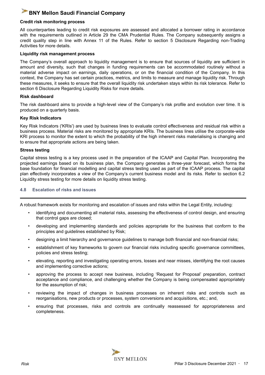#### **Credit risk monitoring process**

All counterparties leading to credit risk exposures are assessed and allocated a borrower rating in accordance with the requirements outlined in Article 29 the CMA Prudential Rules. The Company subsequently assigns a credit quality step in line with Annex 11 of the Rules. Refer to section 5 Disclosure Regarding non-Trading Activities for more details.

#### **Liquidity risk management process**

The Company's overall approach to liquidity management is to ensure that sources of liquidity are sufficient in amount and diversity, such that changes in funding requirements can be accommodated routinely without a material adverse impact on earnings, daily operations, or on the financial condition of the Company. In this context, the Company has set certain practices, metrics, and limits to measure and manage liquidity risk. Through these measures, it seeks to ensure that the overall liquidity risk undertaken stays within its risk tolerance. Refer to section 6 Disclosure Regarding Liquidity Risks for more details.

#### **Risk dashboard**

The risk dashboard aims to provide a high-level view of the Company's risk profile and evolution over time. It is produced on a quarterly basis.

#### **Key Risk Indicators**

Key Risk Indicators ('KRIs') are used by business lines to evaluate control effectiveness and residual risk within a business process. Material risks are monitored by appropriate KRIs. The business lines utilise the corporate-wide KRI process to monitor the extent to which the probability of the high inherent risks materialising is changing and to ensure that appropriate actions are being taken.

#### **Stress testing**

Capital stress testing is a key process used in the preparation of the ICAAP and Capital Plan. Incorporating the projected earnings based on its business plan, the Company generates a three-year forecast, which forms the base foundation for financial modelling and capital stress testing used as part of the ICAAP process. The capital plan effectively incorporates a view of the Company's current business model and its risks. Refer to section 6.2 Liquidity stress testing for more details on liquidity stress testing.

#### **4.8 Escalation of risks and issues**

A robust framework exists for monitoring and escalation of issues and risks within the Legal Entity, including:

- identifying and documenting all material risks, assessing the effectiveness of control design, and ensuring that control gaps are closed;
- developing and implementing standards and policies appropriate for the business that conform to the principles and guidelines established by Risk;
- designing a limit hierarchy and governance guidelines to manage both financial and non-financial risks;
- establishment of key frameworks to govern our financial risks including specific governance committees, policies and stress testing;
- elevating, reporting and investigating operating errors, losses and near misses, identifying the root causes and implementing corrective actions;
- approving the process to accept new business, including 'Request for Proposal' preparation, contract acceptance and compliance, and challenging whether the Company is being compensated appropriately for the assumption of risk;
- reviewing the impact of changes in business processes on inherent risks and controls such as reorganisations, new products or processes, system conversions and acquisitions, etc.; and,
- ensuring that processes, risks and controls are continually reassessed for appropriateness and completeness.

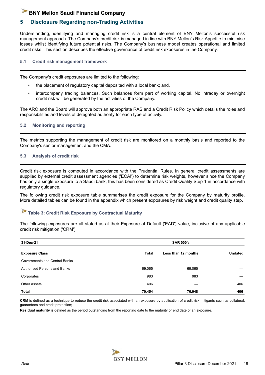## **5 Disclosure Regarding non-Trading Activities**

Understanding, identifying and managing credit risk is a central element of BNY Mellon's successful risk management approach. The Company's credit risk is managed in line with BNY Mellon's Risk Appetite to minimise losses whilst identifying future potential risks. The Company's business model creates operational and limited credit risks. This section describes the effective governance of credit risk exposures in the Company.

#### **5.1 Credit risk management framework**

The Company's credit exposures are limited to the following:

- the placement of regulatory capital deposited with a local bank; and,
- intercompany trading balances. Such balances form part of working capital. No intraday or overnight credit risk will be generated by the activities of the Company.

The ARC and the Board will approve both an appropriate RAS and a Credit Risk Policy which details the roles and responsibilities and levels of delegated authority for each type of activity.

#### **5.2 Monitoring and reporting**

The metrics supporting the management of credit risk are monitored on a monthly basis and reported to the Company's senior management and the CMA.

#### **5.3 Analysis of credit risk**

Credit risk exposure is computed in accordance with the Prudential Rules. In general credit assessments are supplied by external credit assessment agencies ('ECAI') to determine risk weights, however since the Company has only a single exposure to a Saudi bank, this has been considered as Credit Quality Step 1 in accordance with regulatory guidance.

The following credit risk exposure table summarises the credit exposure for the Company by maturity profile. More detailed tables can be found in the appendix which present exposures by risk weight and credit quality step.

#### P **Table 3: Credit Risk Exposure by Contractual Maturity**

The following exposures are all stated as at their Exposure at Default ('EAD') value, inclusive of any applicable credit risk mitigation ('CRM').

| 31-Dec-21                           | <b>SAR 000's</b> |                     |                |  |  |
|-------------------------------------|------------------|---------------------|----------------|--|--|
| <b>Exposure Class</b>               | <b>Total</b>     | Less than 12 months | <b>Undated</b> |  |  |
| Governments and Central Banks       |                  |                     |                |  |  |
| <b>Authorised Persons and Banks</b> | 69,065           | 69,065              |                |  |  |
| Corporates                          | 983              | 983                 |                |  |  |
| <b>Other Assets</b>                 | 406              |                     | 406            |  |  |
| <b>Total</b>                        | 70,454           | 70,048              | 406            |  |  |

**CRM** is defined as a technique to reduce the credit risk associated with an exposure by application of credit risk mitigants such as collateral, guarantees and credit protection;

**Residual maturity** is defined as the period outstanding from the reporting date to the maturity or end date of an exposure.

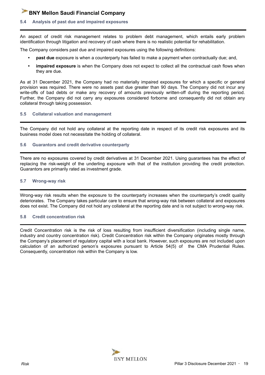#### **5.4 Analysis of past due and impaired exposures**

An aspect of credit risk management relates to problem debt management, which entails early problem identification through litigation and recovery of cash where there is no realistic potential for rehabilitation.

The Company considers past due and impaired exposures using the following definitions:

- **• past due** exposure is when a counterparty has failed to make a payment when contractually due; and,
- **• impaired exposure** is when the Company does not expect to collect all the contractual cash flows when they are due.

As at 31 December 2021, the Company had no materially impaired exposures for which a specific or general provision was required. There were no assets past due greater than 90 days. The Company did not incur any write-offs of bad debts or make any recovery of amounts previously written-off during the reporting period. Further, the Company did not carry any exposures considered forborne and consequently did not obtain any collateral through taking possession.

#### **5.5 Collateral valuation and management**

The Company did not hold any collateral at the reporting date in respect of its credit risk exposures and its business model does not necessitate the holding of collateral.

#### **5.6 Guarantors and credit derivative counterparty**

There are no exposures covered by credit derivatives at 31 December 2021. Using guarantees has the effect of replacing the risk-weight of the underling exposure with that of the institution providing the credit protection. Guarantors are primarily rated as investment grade.

#### **5.7 Wrong-way risk**

Wrong-way risk results when the exposure to the counterparty increases when the counterparty's credit quality deteriorates. The Company takes particular care to ensure that wrong-way risk between collateral and exposures does not exist. The Company did not hold any collateral at the reporting date and is not subject to wrong-way risk.

#### **5.8 Credit concentration risk**

Credit Concentration risk is the risk of loss resulting from insufficient diversification (including single name, industry and country concentration risk). Credit Concentration risk within the Company originates mostly through the Company's placement of regulatory capital with a local bank. However, such exposures are not included upon calculation of an authorized person's exposures pursuant to Article 54(5) of the CMA Prudential Rules. Consequently, concentration risk within the Company is low.

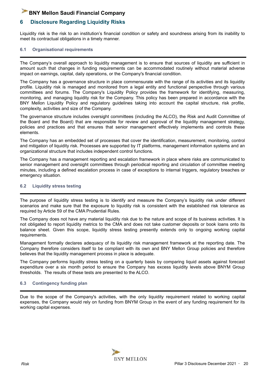## **6 Disclosure Regarding Liquidity Risks**

Liquidity risk is the risk to an institution's financial condition or safety and soundness arising from its inability to meet its contractual obligations in a timely manner.

#### **6.1 Organisational requirements**

The Company's overall approach to liquidity management is to ensure that sources of liquidity are sufficient in amount such that changes in funding requirements can be accommodated routinely without material adverse impact on earnings, capital, daily operations, or the Company's financial condition.

The Company has a governance structure in place commensurate with the range of its activities and its liquidity profile. Liquidity risk is managed and monitored from a legal entity and functional perspective through various committees and forums. The Company's Liquidity Policy provides the framework for identifying, measuring, monitoring, and managing liquidity risk for the Company. This policy has been prepared in accordance with the BNY Mellon Liquidity Policy and regulatory guidelines taking into account the capital structure, risk profile, complexity, activities and size of the Company.

The governance structure includes oversight committees (including the ALCO), the Risk and Audit Committee of the Board and the Board) that are responsible for review and approval of the liquidity management strategy, policies and practices and that ensures that senior management effectively implements and controls these elements.

The Company has an embedded set of processes that cover the identification, measurement, monitoring, control and mitigation of liquidity risk. Processes are supported by IT platforms, management information systems and an organizational structure that includes independent control functions.

The Company has a management reporting and escalation framework in place where risks are communicated to senior management and oversight committees through periodical reporting and circulation of committee meeting minutes, including a defined escalation process in case of exceptions to internal triggers, regulatory breaches or emergency situation.

#### **6.2 Liquidity stress testing**

The purpose of liquidity stress testing is to identify and measure the Company's liquidity risk under different scenarios and make sure that the exposure to liquidity risk is consistent with the established risk tolerance as required by Article 59 of the CMA Prudential Rules.

The Company does not have any material liquidity risk due to the nature and scope of its business activities. It is not obligated to report liquidity metrics to the CMA and does not take customer deposits or book loans onto its balance sheet. Given this scope, liquidity stress testing presently extends only to ongoing working capital requirements.

Management formally declares adequacy of its liquidity risk management framework at the reporting date. The Company therefore considers itself to be compliant with its own and BNY Mellon Group policies and therefore believes that the liquidity management process in place is adequate.

The Company performs liquidity stress testing on a quarterly basis by comparing liquid assets against forecast expenditure over a six month period to ensure the Company has excess liquidity levels above BNYM Group thresholds. The results of these tests are presented to the ALCO.

#### **6.3 Contingency funding plan**

Due to the scope of the Company's activities, with the only liquidity requirement related to working capital expenses, the Company would rely on funding from BNYM Group in the event of any funding requirement for its working capital expenses.

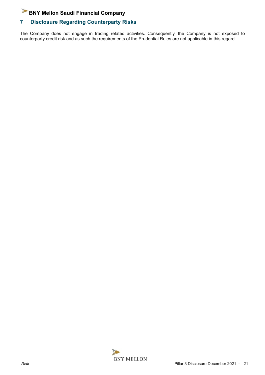## **7 Disclosure Regarding Counterparty Risks**

The Company does not engage in trading related activities. Consequently, the Company is not exposed to counterparty credit risk and as such the requirements of the Prudential Rules are not applicable in this regard.

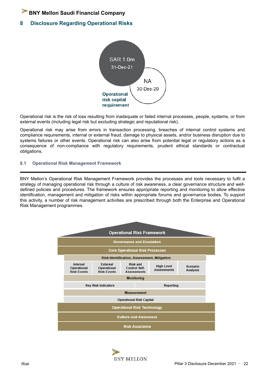## **8 Disclosure Regarding Operational Risks**



Operational risk is the risk of loss resulting from inadequate or failed internal processes, people, systems, or from external events (including legal risk but excluding strategic and reputational risk).

Operational risk may arise from errors in transaction processing, breaches of internal control systems and compliance requirements, internal or external fraud, damage to physical assets, and/or business disruption due to systems failures or other events. Operational risk can also arise from potential legal or regulatory actions as a consequence of non-compliance with regulatory requirements, prudent ethical standards or contractual obligations.

#### **8.1 Operational Risk Management Framework**

BNY Mellon's Operational Risk Management Framework provides the processes and tools necessary to fulfil a strategy of managing operational risk through a culture of risk awareness, a clear governance structure and welldefined policies and procedures. The framework ensures appropriate reporting and monitoring to allow effective identification, management and mitigation of risks within appropriate forums and governance bodies. To support this activity, a number of risk management activities are prescribed through both the Enterprise and Operational Risk Management programmes.

|                                               |                                               | <b>Governance and Escalation</b>                              |                                         |                             |
|-----------------------------------------------|-----------------------------------------------|---------------------------------------------------------------|-----------------------------------------|-----------------------------|
|                                               |                                               | <b>Core Operational Risk Processes</b>                        |                                         |                             |
|                                               |                                               | <b>Risk Identification, Assessment, Mitigation</b>            |                                         |                             |
| Internal<br>Operational<br><b>Risk Events</b> | External<br>Operational<br><b>Risk Events</b> | <b>Risk and</b><br><b>Control Self-</b><br><b>Assessments</b> | <b>High Level</b><br><b>Assessments</b> | Scenario<br><b>Analysis</b> |
|                                               |                                               | <b>Monitoring</b>                                             |                                         |                             |
| <b>Key Risk Indicators</b><br>Reporting       |                                               |                                                               |                                         |                             |
|                                               |                                               | <b>Measurement</b>                                            |                                         |                             |
|                                               |                                               | <b>Operational Risk Capital</b>                               |                                         |                             |
|                                               |                                               | <b>Operational Risk Technology</b>                            |                                         |                             |

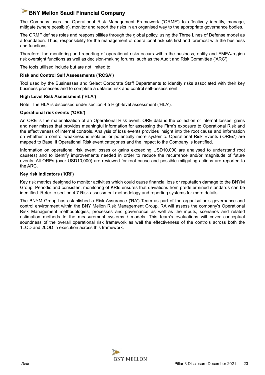The Company uses the Operational Risk Management Framework ('ORMF') to effectively identify, manage, mitigate (where possible), monitor and report the risks in an organised way to the appropriate governance bodies.

The ORMF defines roles and responsibilities through the global policy, using the Three Lines of Defense model as a foundation. Thus, responsibility for the management of operational risk sits first and foremost with the business and functions.

Therefore, the monitoring and reporting of operational risks occurs within the business, entity and EMEA‑region risk oversight functions as well as decision-making forums, such as the Audit and Risk Committee ('ARC').

The tools utilised include but are not limited to:

#### **Risk and Control Self Assessments ('RCSA')**

Tool used by the Businesses and Select Corporate Staff Departments to identify risks associated with their key business processes and to complete a detailed risk and control self-assessment.

#### **High Level Risk Assessment ('HLA')**

Note: The HLA is discussed under section 4.5 High-level assessment ('HLA').

#### **Operational risk events ('ORE')**

An ORE is the materialization of an Operational Risk event. ORE data is the collection of internal losses, gains and near misses that provides meaningful information for assessing the Firm's exposure to Operational Risk and the effectiveness of internal controls. Analysis of loss events provides insight into the root cause and information on whether a control weakness is isolated or potentially more systemic. Operational Risk Events ('OREs') are mapped to Basel II Operational Risk event categories and the impact to the Company is identified.

Information on operational risk event losses or gains exceeding USD10,000 are analysed to understand root cause(s) and to identify improvements needed in order to reduce the recurrence and/or magnitude of future events. All OREs (over USD10,000) are reviewed for root cause and possible mitigating actions are reported to the ARC.

#### **Key risk indicators ('KRI')**

Key risk metrics designed to monitor activities which could cause financial loss or reputation damage to the BNYM Group. Periodic and consistent monitoring of KRIs ensures that deviations from predetermined standards can be identified. Refer to section 4.7 Risk assessment methodology and reporting systems for more details.

The BNYM Group has established a Risk Assurance ('RA') Team as part of the organisation's governance and control environment within the BNY Mellon Risk Management Group. RA will assess the company's Operational Risk Management methodologies, processes and governance as well as the inputs, scenarios and related estimation methods to the measurement systems / models. This team's evaluations will cover conceptual soundness of the overall operational risk framework as well the effectiveness of the controls across both the 1LOD and 2LOD in execution across this framework.

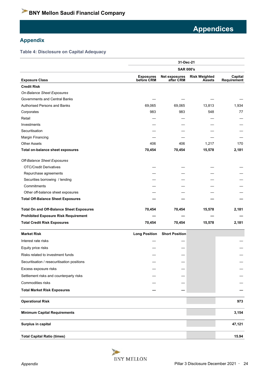## **Appendix**

#### **Table 4: Disclosure on Capital Adequacy**

|                                                 | 31-Dec-21                      |                            |                                       |                        |  |  |  |
|-------------------------------------------------|--------------------------------|----------------------------|---------------------------------------|------------------------|--|--|--|
|                                                 | <b>SAR 000's</b>               |                            |                                       |                        |  |  |  |
| <b>Exposure Class</b>                           | <b>Exposures</b><br>before CRM | Net exposures<br>after CRM | <b>Risk Weighted</b><br><b>Assets</b> | Capital<br>Requirement |  |  |  |
| <b>Credit Risk</b>                              |                                |                            |                                       |                        |  |  |  |
| On-Balance Sheet Exposures                      |                                |                            |                                       |                        |  |  |  |
| Governments and Central Banks                   |                                |                            |                                       |                        |  |  |  |
| <b>Authorised Persons and Banks</b>             | 69,065                         | 69,065                     | 13,813                                | 1,934                  |  |  |  |
| Corporates                                      | 983                            | 983                        | 548                                   | 77                     |  |  |  |
| Retail                                          |                                |                            |                                       |                        |  |  |  |
| Investments                                     |                                |                            |                                       |                        |  |  |  |
| Securitisation                                  |                                |                            |                                       |                        |  |  |  |
| Margin Financing                                |                                |                            |                                       |                        |  |  |  |
| <b>Other Assets</b>                             | 406                            | 406                        | 1,217                                 | 170                    |  |  |  |
| Total on-balance sheet exposures                | 70,454                         | 70,454                     | 15,578                                | 2,181                  |  |  |  |
| Off-Balance Sheet Exposures                     |                                |                            |                                       |                        |  |  |  |
| <b>OTC/Credit Derivatives</b>                   |                                |                            |                                       |                        |  |  |  |
| Repurchase agreements                           |                                |                            |                                       |                        |  |  |  |
| Securities borrowing / lending                  |                                |                            |                                       |                        |  |  |  |
| Commitments                                     |                                |                            |                                       |                        |  |  |  |
| Other off-balance sheet exposures               |                                |                            |                                       |                        |  |  |  |
| <b>Total Off-Balance Sheet Exposures</b>        |                                |                            |                                       |                        |  |  |  |
| <b>Total On and Off-Balance Sheet Exposures</b> | 70,454                         | 70,454                     | 15,578                                | 2,181                  |  |  |  |
| <b>Prohibited Exposure Risk Requirement</b>     |                                |                            |                                       |                        |  |  |  |
| <b>Total Credit Risk Exposures</b>              | 70,454                         | 70,454                     | 15,578                                | 2,181                  |  |  |  |
| <b>Market Risk</b>                              | <b>Long Position</b>           | <b>Short Position</b>      |                                       |                        |  |  |  |
| Interest rate risks                             |                                |                            |                                       |                        |  |  |  |
| Equity price risks                              |                                |                            |                                       |                        |  |  |  |
| Risks related to investment funds               |                                |                            |                                       |                        |  |  |  |
| Securitisation / resecuritisation positions     |                                |                            |                                       |                        |  |  |  |
| Excess exposure risks                           |                                |                            |                                       |                        |  |  |  |
| Settlement risks and counterparty risks         |                                |                            |                                       |                        |  |  |  |
| Commodities risks                               |                                |                            |                                       |                        |  |  |  |
| <b>Total Market Risk Exposures</b>              |                                |                            |                                       |                        |  |  |  |
| <b>Operational Risk</b>                         |                                |                            |                                       | 973                    |  |  |  |
| <b>Minimum Capital Requirements</b>             |                                |                            |                                       | 3,154                  |  |  |  |
| Surplus in capital                              |                                |                            |                                       | 47,121                 |  |  |  |
| <b>Total Capital Ratio (times)</b>              |                                |                            |                                       | 15.94                  |  |  |  |

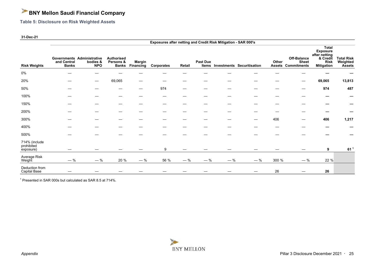**Table 5: Disclosure on Risk Weighted Assets**

#### **31-Dec-21**

|                                          |                             |                                                      |                                         |                            |            |                   |                          | Exposures after netting and Credit Risk Mitigation - SAR 000's |                                   |                        |                                                   |                                                                                                  |                                                |
|------------------------------------------|-----------------------------|------------------------------------------------------|-----------------------------------------|----------------------------|------------|-------------------|--------------------------|----------------------------------------------------------------|-----------------------------------|------------------------|---------------------------------------------------|--------------------------------------------------------------------------------------------------|------------------------------------------------|
| <b>Risk Weights</b>                      | and Central<br><b>Banks</b> | Governments Administrative<br>bodies &<br><b>NPO</b> | <b>Authorised</b><br>Persons &<br>Banks | <b>Margin</b><br>Financing | Corporates | Retail            | Past Due<br><b>Items</b> |                                                                | <b>Investments Securitisation</b> | Other<br><b>Assets</b> | Off-Balance<br><b>Sheet</b><br><b>Commitments</b> | <b>Total</b><br><b>Exposure</b><br>after netting<br>& Credit<br><b>Risk</b><br><b>Mitigation</b> | <b>Total Risk</b><br>Weighted<br><b>Assets</b> |
| $0\%$                                    |                             |                                                      |                                         |                            |            |                   |                          |                                                                |                                   |                        |                                                   |                                                                                                  |                                                |
| 20%                                      |                             |                                                      | 69,065                                  |                            |            |                   |                          |                                                                |                                   |                        | —                                                 | 69,065                                                                                           | 13,813                                         |
| 50%                                      |                             |                                                      |                                         |                            | 974        | $\hspace{0.05cm}$ | –                        |                                                                |                                   |                        |                                                   | 974                                                                                              | 487                                            |
| 100%                                     |                             |                                                      |                                         |                            |            |                   |                          |                                                                |                                   |                        |                                                   |                                                                                                  |                                                |
| 150%                                     |                             |                                                      |                                         |                            |            |                   |                          |                                                                |                                   |                        |                                                   |                                                                                                  |                                                |
| 200%                                     |                             |                                                      |                                         |                            |            |                   |                          |                                                                |                                   |                        |                                                   |                                                                                                  |                                                |
| 300%                                     |                             |                                                      |                                         |                            |            |                   |                          |                                                                |                                   | 406                    |                                                   | 406                                                                                              | 1,217                                          |
| 400%                                     |                             |                                                      |                                         |                            |            |                   |                          |                                                                |                                   |                        |                                                   |                                                                                                  |                                                |
| 500%                                     |                             |                                                      |                                         |                            |            |                   |                          |                                                                |                                   |                        |                                                   |                                                                                                  |                                                |
| 714% (include<br>prohibited<br>exposure) | –                           |                                                      |                                         |                            | 9          |                   |                          |                                                                |                                   |                        |                                                   | 9                                                                                                | 61 <sup>1</sup>                                |
| Average Risk<br>Weight                   | $-$ %                       | $-$ %                                                | 20 %                                    | $-$ %                      | 56 %       | $-$ %             | $-$ %                    | $-$ %                                                          | $-$ %                             | 300 %                  | $-$ %                                             | 22 %                                                                                             |                                                |
| Deduction from<br>Capital Base           |                             |                                                      |                                         |                            |            |                   |                          |                                                                |                                   | 26                     |                                                   | 26                                                                                               |                                                |

<sup>1</sup> Presented in SAR 000s but calculated as SAR 8.5 at 714%.

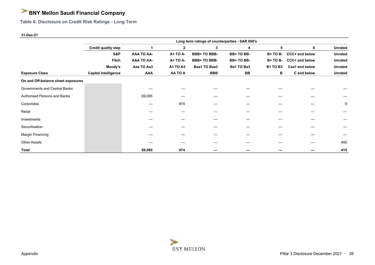**Table 6: Disclosure on Credit Risk Ratings - Long Term**

#### **31-Dec-21**

|                                    | Long term ratings of counterparties - SAR 000's |                   |                 |                    |            |                 |                |                |
|------------------------------------|-------------------------------------------------|-------------------|-----------------|--------------------|------------|-----------------|----------------|----------------|
|                                    | <b>Credit quality step</b>                      |                   | $\mathbf{2}$    | 3                  | 4          | 5               | 6              | <b>Unrated</b> |
|                                    | S&P                                             | <b>AAA TO AA-</b> | <b>A+ TO A-</b> | <b>BBB+TO BBB-</b> | BB+TO BB-  | <b>B+TO B-</b>  | CCC+ and below | <b>Unrated</b> |
|                                    | Fitch                                           | <b>AAA TO AA-</b> | <b>A+ TO A-</b> | <b>BBB+TO BBB-</b> | BB+TO BB-  | <b>B+TO B-</b>  | CCC+ and below | <b>Unrated</b> |
|                                    | Moody's                                         | Aaa TO Aa3        | <b>A1 TO A3</b> | Baa1 TO Baa3       | Ba1 TO Ba3 | <b>B1 TO B3</b> | Caa1 and below | <b>Unrated</b> |
| <b>Exposure Class</b>              | <b>Capital Intelligence</b>                     | <b>AAA</b>        | AA TO A         | <b>BBB</b>         | BB         | в               | C and below    | Unrated        |
| On and Off-balance sheet exposures |                                                 |                   |                 |                    |            |                 |                |                |
| Governments and Central Banks      |                                                 |                   |                 |                    |            |                 |                |                |
| Authorised Persons and Banks       |                                                 | 69,065            |                 |                    |            |                 |                |                |
| Corporates                         |                                                 |                   | 974             |                    |            |                 |                | 9              |
| Retail                             |                                                 |                   |                 |                    |            |                 |                |                |
| Investments                        |                                                 |                   |                 |                    |            |                 |                |                |
| Securitisation                     |                                                 |                   |                 |                    |            |                 |                |                |
| Margin Financing                   |                                                 |                   |                 |                    |            |                 |                |                |
| <b>Other Assets</b>                |                                                 |                   |                 |                    |            |                 |                | 406            |
| Total                              |                                                 | 69,065            | 974             |                    |            |                 |                | 415            |

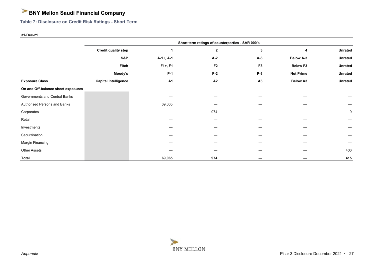**Table 7: Disclosure on Credit Risk Ratings - Short Term**

#### **31-Dec-21**

|                                    | Short term ratings of counterparties - SAR 000's |             |                |                |                  |                |  |  |  |  |
|------------------------------------|--------------------------------------------------|-------------|----------------|----------------|------------------|----------------|--|--|--|--|
|                                    | <b>Credit quality step</b>                       |             | $\mathbf{2}$   | 3              | 4                | <b>Unrated</b> |  |  |  |  |
|                                    | S&P                                              | $A-1+, A-1$ | $A-2$          | $A-3$          | <b>Below A-3</b> | <b>Unrated</b> |  |  |  |  |
|                                    | Fitch                                            | $F1+, F1$   | F <sub>2</sub> | F <sub>3</sub> | <b>Below F3</b>  | <b>Unrated</b> |  |  |  |  |
|                                    | Moody's                                          | $P-1$       | $P-2$          | $P-3$          | <b>Not Prime</b> | <b>Unrated</b> |  |  |  |  |
| <b>Exposure Class</b>              | <b>Capital Intelligence</b>                      | <b>A1</b>   | A2             | A3             | <b>Below A3</b>  | <b>Unrated</b> |  |  |  |  |
| On and Off-balance sheet exposures |                                                  |             |                |                |                  |                |  |  |  |  |
| Governments and Central Banks      |                                                  |             |                |                |                  |                |  |  |  |  |
| Authorised Persons and Banks       |                                                  | 69,065      |                |                |                  |                |  |  |  |  |
| Corporates                         |                                                  |             | 974            |                |                  | 9              |  |  |  |  |
| Retail                             |                                                  |             |                |                |                  |                |  |  |  |  |
| Investments                        |                                                  |             |                |                |                  |                |  |  |  |  |
| Securitisation                     |                                                  |             |                |                |                  |                |  |  |  |  |
| Margin Financing                   |                                                  |             |                |                |                  |                |  |  |  |  |
| <b>Other Assets</b>                |                                                  |             |                |                |                  | 406            |  |  |  |  |
| <b>Total</b>                       |                                                  | 69,065      | 974            |                |                  | 415            |  |  |  |  |

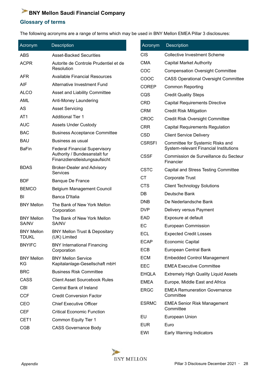## **Glossary of terms**

The following acronyms are a range of terms which may be used in BNY Mellon EMEA Pillar 3 disclosures:

| Acronym                           | <b>Description</b>                                             | Acronym       | <b>Description</b>                                                         |
|-----------------------------------|----------------------------------------------------------------|---------------|----------------------------------------------------------------------------|
| <b>ABS</b>                        | <b>Asset-Backed Securities</b>                                 | <b>CIS</b>    | <b>Collective Investment Scheme</b>                                        |
| <b>ACPR</b>                       | Autorite de Controle Prudentiel et de                          | <b>CMA</b>    | <b>Capital Market Authority</b>                                            |
|                                   | Resolution                                                     | COC           | <b>Compensation Oversight Committee</b>                                    |
| <b>AFR</b>                        | <b>Available Financial Resources</b>                           | COOC          | <b>CASS Operational Oversight Committee</b>                                |
| AIF                               | Alternative Investment Fund                                    | <b>COREP</b>  | <b>Common Reporting</b>                                                    |
| <b>ALCO</b>                       | Asset and Liability Committee                                  | CQS           | <b>Credit Quality Steps</b>                                                |
| <b>AML</b>                        | Anti-Money Laundering                                          | <b>CRD</b>    | <b>Capital Requirements Directive</b>                                      |
| AS                                | <b>Asset Servicing</b>                                         | <b>CRM</b>    | <b>Credit Risk Mitigation</b>                                              |
| AT <sub>1</sub>                   | <b>Additional Tier 1</b>                                       | CROC          | <b>Credit Risk Oversight Committee</b>                                     |
| <b>AUC</b>                        | <b>Assets Under Custody</b>                                    | <b>CRR</b>    | <b>Capital Requirements Regulation</b>                                     |
| <b>BAC</b>                        | <b>Business Acceptance Committee</b>                           | <b>CSD</b>    | <b>Client Service Delivery</b>                                             |
| <b>BAU</b><br><b>BaFin</b>        | Business as usual<br><b>Federal Financial Supervisory</b>      | <b>CSRSFI</b> | Committee for Systemic Risks and<br>System-relevant Financial Institutions |
|                                   | Authority / Bundesanstalt fur<br>Finanzdienstleistungsaufsicht | <b>CSSF</b>   | Commission de Surveillance du Secteur<br>Financier                         |
| <b>BDAS</b>                       | <b>Broker-Dealer and Advisory</b><br>Services                  | <b>CSTC</b>   | Capital and Stress Testing Committee                                       |
| <b>BDF</b>                        | <b>Banque De France</b>                                        | <b>CT</b>     | <b>Corporate Trust</b>                                                     |
| <b>BEMCO</b>                      | <b>Belgium Management Council</b>                              | <b>CTS</b>    | <b>Client Technology Solutions</b>                                         |
| BI                                | Banca D'Italia                                                 | DB            | Deutsche Bank                                                              |
| <b>BNY Mellon</b>                 | The Bank of New York Mellon                                    | <b>DNB</b>    | De Nederlandsche Bank                                                      |
|                                   | Corporation                                                    | <b>DVP</b>    | Delivery versus Payment                                                    |
| <b>BNY Mellon</b>                 | The Bank of New York Mellon                                    | EAD           | Exposure at default                                                        |
| SA/NV                             | SA/NV                                                          | EC            | <b>European Commission</b>                                                 |
| <b>BNY Mellon</b><br><b>TDUKL</b> | <b>BNY Mellon Trust &amp; Depositary</b><br>(UK) Limited       | <b>ECL</b>    | <b>Expected Credit Losses</b>                                              |
| <b>BNYIFC</b>                     | <b>BNY International Financing</b>                             | ECAP          | <b>Economic Capital</b>                                                    |
|                                   | Corporation                                                    | <b>ECB</b>    | European Central Bank                                                      |
| <b>BNY Mellon</b>                 | <b>BNY Mellon Service</b>                                      | <b>ECM</b>    | <b>Embedded Control Management</b>                                         |
| KG                                | Kapitalanlage-Gesellschaft mbH                                 | EEC           | <b>EMEA Executive Committee</b>                                            |
| <b>BRC</b>                        | <b>Business Risk Committee</b>                                 | <b>EHQLA</b>  | <b>Extremely High Quality Liquid Assets</b>                                |
| CASS                              | <b>Client Asset Sourcebook Rules</b>                           | <b>EMEA</b>   | Europe, Middle East and Africa                                             |
| <b>CBI</b>                        | Central Bank of Ireland                                        | <b>ERGC</b>   | <b>EMEA Remuneration Governance</b>                                        |
| <b>CCF</b>                        | <b>Credit Conversion Factor</b>                                |               | Committee                                                                  |
| CEO                               | <b>Chief Executive Officer</b>                                 | <b>ESRMC</b>  | <b>EMEA Senior Risk Management</b><br>Committee                            |
| <b>CEF</b>                        | <b>Critical Economic Function</b>                              | EU            | European Union                                                             |
| CET <sub>1</sub>                  | Common Equity Tier 1                                           | <b>EUR</b>    | Euro                                                                       |
| <b>CGB</b>                        | <b>CASS Governance Body</b>                                    | EWI           | <b>Early Warning Indicators</b>                                            |

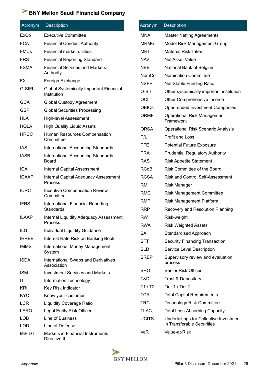| Acronym      | <b>Description</b>                                     | Acronym      | <b>Description</b>                           |
|--------------|--------------------------------------------------------|--------------|----------------------------------------------|
| ExCo         | <b>Executive Committee</b>                             | <b>MNA</b>   | <b>Master Netting Agreements</b>             |
| <b>FCA</b>   | <b>Financial Conduct Authority</b>                     | <b>MRMG</b>  | Model Risk Management Group                  |
| <b>FMUs</b>  | Financial market utilities                             | <b>MRT</b>   | <b>Material Risk Taker</b>                   |
| <b>FRS</b>   | <b>Financial Reporting Standard</b>                    | <b>NAV</b>   | <b>Net Asset Value</b>                       |
| <b>FSMA</b>  | <b>Financial Services and Markets</b>                  | <b>NBB</b>   | National Bank of Belgium                     |
|              | Authority                                              | NomCo        | <b>Nomination Committee</b>                  |
| <b>FX</b>    | Foreign Exchange                                       | <b>NSFR</b>  | Net Stable Funding Ratio                     |
| G-SIFI       | Global Systemically Important Financial<br>Institution | O-SII        | Other systemically important institution     |
| <b>GCA</b>   | <b>Global Custody Agreement</b>                        | OCI          | Other Comprehensive Income                   |
| <b>GSP</b>   | <b>Global Securities Processing</b>                    | <b>OEICs</b> | Open-ended Investment Companies              |
| <b>HLA</b>   | <b>High-level Assessment</b>                           | <b>ORMF</b>  | <b>Operational Risk Management</b>           |
| <b>HQLA</b>  | <b>High Quality Liquid Assets</b>                      |              | Framework                                    |
| <b>HRCC</b>  | Human Resources Compensation                           | <b>ORSA</b>  | <b>Operational Risk Scenario Analysis</b>    |
|              | Committee                                              | P/L          | Profit and Loss                              |
| <b>IAS</b>   | <b>International Accounting Standards</b>              | <b>PFE</b>   | <b>Potential Future Exposure</b>             |
| <b>IASB</b>  | <b>International Accounting Standards</b>              | <b>PRA</b>   | <b>Prudential Regulatory Authority</b>       |
|              | <b>Board</b>                                           | <b>RAS</b>   | <b>Risk Appetite Statement</b>               |
| <b>ICA</b>   | <b>Internal Capital Assessment</b>                     | <b>RCoB</b>  | <b>Risk Committee of the Board</b>           |
| <b>ICAAP</b> | Internal Capital Adequacy Assessment<br><b>Process</b> | <b>RCSA</b>  | <b>Risk and Control Self-Assessment</b>      |
| <b>ICRC</b>  |                                                        | <b>RM</b>    | <b>Risk Manager</b>                          |
|              | <b>Incentive Compensation Review</b><br>Committee      | <b>RMC</b>   | <b>Risk Management Committee</b>             |
| <b>IFRS</b>  | International Financial Reporting                      | <b>RMP</b>   | <b>Risk Management Platform</b>              |
|              | <b>Standards</b>                                       | <b>RRP</b>   | Recovery and Resolution Planning             |
| <b>ILAAP</b> | <b>Internal Liquidity Adequacy Assessment</b>          | <b>RW</b>    | Risk-weight                                  |
|              | <b>Process</b>                                         | <b>RWA</b>   | <b>Risk Weighted Assets</b>                  |
| ILG          | Individual Liquidity Guidance                          | <b>SA</b>    | <b>Standardised Approach</b>                 |
| <b>IRRBB</b> | Interest Rate Risk on Banking Book                     | <b>SFT</b>   | <b>Security Financing Transaction</b>        |
| <b>IMMS</b>  | International Money Management<br>System               | <b>SLD</b>   | Service Level Description                    |
| <b>ISDA</b>  | International Swaps and Derivatives<br>Association     | <b>SREP</b>  | Supervisory review and evaluation<br>process |
| <b>ISM</b>   | <b>Investment Services and Markets</b>                 | <b>SRO</b>   | Senior Risk Officer                          |
| IT           | Information Technology                                 | T&D          | <b>Trust &amp; Depositary</b>                |
| <b>KRI</b>   | Key Risk Indicator                                     | T1/ T2       | Tier 1 / Tier 2                              |
| <b>KYC</b>   | Know your customer                                     | <b>TCR</b>   | <b>Total Capital Requirements</b>            |
| <b>LCR</b>   | <b>Liquidity Coverage Ratio</b>                        | <b>TRC</b>   | <b>Technology Risk Committee</b>             |
| <b>LERO</b>  | Legal Entity Risk Officer                              | <b>TLAC</b>  | <b>Total Loss-Absorbing Capacity</b>         |
| <b>LOB</b>   | Line of Business                                       | <b>UCITS</b> | Undertakings for Collective Investment       |
| <b>LOD</b>   | Line of Defense                                        |              | in Transferable Securities                   |
| MiFID II     | Markets in Financial Instruments<br>Directive II       | VaR          | Value-at-Risk                                |

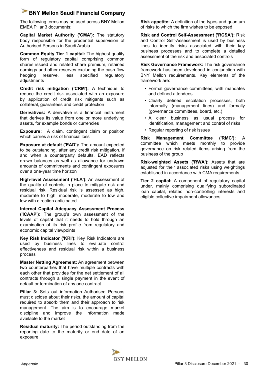The following terms may be used across BNY Mellon EMEA Pillar 3 documents:

**Capital Market Authority ('CMA'):** The statutory body responsible for the prudential supervision of Authorised Persons in Saudi Arabia

**Common Equity Tier 1 capital:** The highest quality form of regulatory capital comprising common shares issued and related share premium, retained earnings and other reserves excluding the cash flow hedging reserve, less specified regulatory adjustments

**Credit risk mitigation ('CRM'):** A technique to reduce the credit risk associated with an exposure by application of credit risk mitigants such as collateral, guarantees and credit protection

**Derivatives:** A derivative is a financial instrument that derives its value from one or more underlying assets, for example bonds or currencies

**Exposure:** A claim, contingent claim or position which carries a risk of financial loss

**Exposure at default ('EAD'):** The amount expected to be outstanding, after any credit risk mitigation, if and when a counterparty defaults. EAD reflects drawn balances as well as allowance for undrawn amounts of commitments and contingent exposures over a one-year time horizon

**High-level Assessment ('HLA'):** An assessment of the quality of controls in place to mitigate risk and residual risk. Residual risk is assessed as high, moderate to high, moderate, moderate to low and low with direction anticipated

**Internal Capital Adequacy Assessment Process ('ICAAP'):** The group's own assessment of the levels of capital that it needs to hold through an examination of its risk profile from regulatory and economic capital viewpoints

**Key Risk Indicator ('KRI'):** Key Risk Indicators are used by business lines to evaluate control effectiveness and residual risk within a business process

**Master Netting Agreement:** An agreement between two counterparties that have multiple contracts with each other that provides for the net settlement of all contracts through a single payment in the event of default or termination of any one contract

**Pillar 3:** Sets out information Authorised Persons must disclose about their risks, the amount of capital required to absorb them and their approach to risk management. The aim is to encourage market discipline and improve the information made available to the market

**Residual maturity:** The period outstanding from the reporting date to the maturity or end date of an exposure

**Risk appetite:** A definition of the types and quantum of risks to which the firm wishes to be exposed

**Risk and Control Self-Assessment ('RCSA'):** Risk and Control Self-Assessment is used by business lines to identify risks associated with their key business processes and to complete a detailed assessment of the risk and associated controls

**Risk Governance Framework:** The risk governance framework has been developed in conjunction with BNY Mellon requirements. Key elements of the framework are:

- Formal governance committees, with mandates and defined attendees
- Clearly defined escalation processes, both informally (management lines) and formally (governance committees, board, etc.)
- A clear business as usual process for identification, management and control of risks
- Regular reporting of risk issues

**Risk Management Committee ('RMC'):** A committee which meets monthly to provide governance on risk related items arising from the business of the group

**Risk-weighted Assets ('RWA'):** Assets that are adjusted for their associated risks using weightings established in accordance with CMA requirements

**Tier 2 capital:** A component of regulatory capital under, mainly comprising qualifying subordinated loan capital, related non-controlling interests and eligible collective impairment allowances